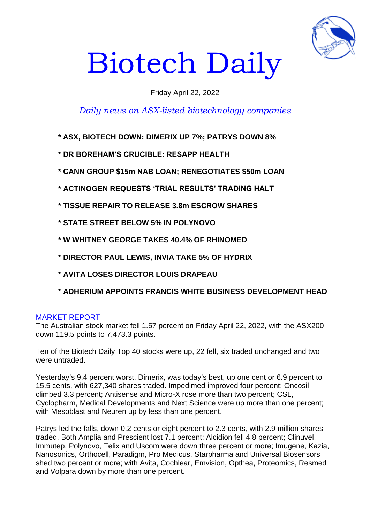

# Biotech Daily

## Friday April 22, 2022

# *Daily news on ASX-listed biotechnology companies*

- **\* ASX, BIOTECH DOWN: DIMERIX UP 7%; PATRYS DOWN 8%**
- **\* DR BOREHAM'S CRUCIBLE: RESAPP HEALTH**
- **\* CANN GROUP \$15m NAB LOAN; RENEGOTIATES \$50m LOAN**
- **\* ACTINOGEN REQUESTS 'TRIAL RESULTS' TRADING HALT**
- **\* TISSUE REPAIR TO RELEASE 3.8m ESCROW SHARES**
- **\* STATE STREET BELOW 5% IN POLYNOVO**
- **\* W WHITNEY GEORGE TAKES 40.4% OF RHINOMED**
- **\* DIRECTOR PAUL LEWIS, INVIA TAKE 5% OF HYDRIX**
- **\* AVITA LOSES DIRECTOR LOUIS DRAPEAU**
- **\* ADHERIUM APPOINTS FRANCIS WHITE BUSINESS DEVELOPMENT HEAD**

#### MARKET REPORT

The Australian stock market fell 1.57 percent on Friday April 22, 2022, with the ASX200 down 119.5 points to 7,473.3 points.

Ten of the Biotech Daily Top 40 stocks were up, 22 fell, six traded unchanged and two were untraded.

Yesterday's 9.4 percent worst, Dimerix, was today's best, up one cent or 6.9 percent to 15.5 cents, with 627,340 shares traded. Impedimed improved four percent; Oncosil climbed 3.3 percent; Antisense and Micro-X rose more than two percent; CSL, Cyclopharm, Medical Developments and Next Science were up more than one percent; with Mesoblast and Neuren up by less than one percent.

Patrys led the falls, down 0.2 cents or eight percent to 2.3 cents, with 2.9 million shares traded. Both Amplia and Prescient lost 7.1 percent; Alcidion fell 4.8 percent; Clinuvel, Immutep, Polynovo, Telix and Uscom were down three percent or more; Imugene, Kazia, Nanosonics, Orthocell, Paradigm, Pro Medicus, Starpharma and Universal Biosensors shed two percent or more; with Avita, Cochlear, Emvision, Opthea, Proteomics, Resmed and Volpara down by more than one percent.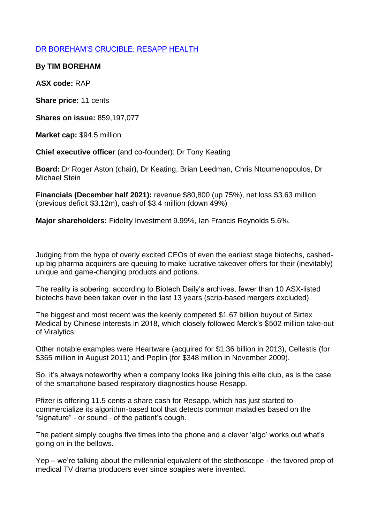## DR BOREHAM'S CRUCIBLE: RESAPP HEALTH

**By TIM BOREHAM** 

**ASX code:** RAP

**Share price:** 11 cents

**Shares on issue:** 859,197,077

**Market cap:** \$94.5 million

**Chief executive officer** (and co-founder): Dr Tony Keating

**Board:** Dr Roger Aston (chair), Dr Keating, Brian Leedman, Chris Ntoumenopoulos, Dr Michael Stein

**Financials (December half 2021):** revenue \$80,800 (up 75%), net loss \$3.63 million (previous deficit \$3.12m), cash of \$3.4 million (down 49%)

**Major shareholders:** Fidelity Investment 9.99%, Ian Francis Reynolds 5.6%.

Judging from the hype of overly excited CEOs of even the earliest stage biotechs, cashedup big pharma acquirers are queuing to make lucrative takeover offers for their (inevitably) unique and game-changing products and potions.

The reality is sobering: according to Biotech Daily's archives, fewer than 10 ASX-listed biotechs have been taken over in the last 13 years (scrip-based mergers excluded).

The biggest and most recent was the keenly competed \$1.67 billion buyout of Sirtex Medical by Chinese interests in 2018, which closely followed Merck's \$502 million take-out of Viralytics.

Other notable examples were Heartware (acquired for \$1.36 billion in 2013), Cellestis (for \$365 million in August 2011) and Peplin (for \$348 million in November 2009).

So, it's always noteworthy when a company looks like joining this elite club, as is the case of the smartphone based respiratory diagnostics house Resapp.

Pfizer is offering 11.5 cents a share cash for Resapp, which has just started to commercialize its algorithm-based tool that detects common maladies based on the "signature" - or sound - of the patient's cough.

The patient simply coughs five times into the phone and a clever 'algo' works out what's going on in the bellows.

Yep – we're talking about the millennial equivalent of the stethoscope - the favored prop of medical TV drama producers ever since soapies were invented.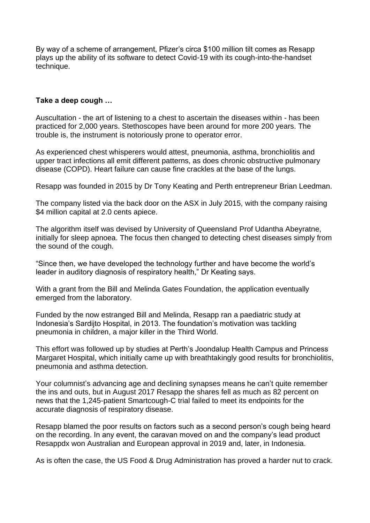By way of a scheme of arrangement, Pfizer's circa \$100 million tilt comes as Resapp plays up the ability of its software to detect Covid-19 with its cough-into-the-handset technique.

#### **Take a deep cough …**

Auscultation - the art of listening to a chest to ascertain the diseases within - has been practiced for 2,000 years. Stethoscopes have been around for more 200 years. The trouble is, the instrument is notoriously prone to operator error.

As experienced chest whisperers would attest, pneumonia, asthma, bronchiolitis and upper tract infections all emit different patterns, as does chronic obstructive pulmonary disease (COPD). Heart failure can cause fine crackles at the base of the lungs.

Resapp was founded in 2015 by Dr Tony Keating and Perth entrepreneur Brian Leedman.

The company listed via the back door on the ASX in July 2015, with the company raising \$4 million capital at 2.0 cents apiece.

The algorithm itself was devised by University of Queensland Prof Udantha Abeyratne, initially for sleep apnoea. The focus then changed to detecting chest diseases simply from the sound of the cough.

"Since then, we have developed the technology further and have become the world's leader in auditory diagnosis of respiratory health," Dr Keating says.

With a grant from the Bill and Melinda Gates Foundation, the application eventually emerged from the laboratory.

Funded by the now estranged Bill and Melinda, Resapp ran a paediatric study at Indonesia's Sardijto Hospital, in 2013. The foundation's motivation was tackling pneumonia in children, a major killer in the Third World.

This effort was followed up by studies at Perth's Joondalup Health Campus and Princess Margaret Hospital, which initially came up with breathtakingly good results for bronchiolitis, pneumonia and asthma detection.

Your columnist's advancing age and declining synapses means he can't quite remember the ins and outs, but in August 2017 Resapp the shares fell as much as 82 percent on news that the 1,245-patient Smartcough-C trial failed to meet its endpoints for the accurate diagnosis of respiratory disease.

Resapp blamed the poor results on factors such as a second person's cough being heard on the recording. In any event, the caravan moved on and the company's lead product Resappdx won Australian and European approval in 2019 and, later, in Indonesia.

As is often the case, the US Food & Drug Administration has proved a harder nut to crack.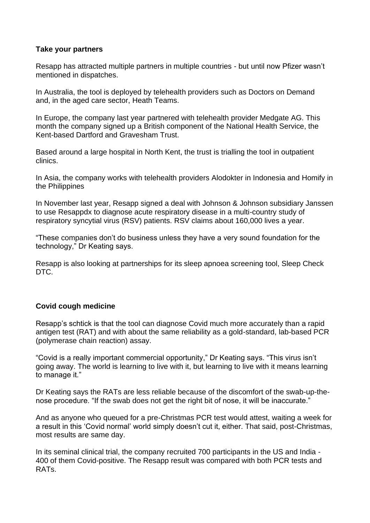#### **Take your partners**

Resapp has attracted multiple partners in multiple countries - but until now Pfizer wasn't mentioned in dispatches.

In Australia, the tool is deployed by telehealth providers such as Doctors on Demand and, in the aged care sector, Heath Teams.

In Europe, the company last year partnered with telehealth provider Medgate AG. This month the company signed up a British component of the National Health Service, the Kent-based Dartford and Gravesham Trust.

Based around a large hospital in North Kent, the trust is trialling the tool in outpatient clinics.

In Asia, the company works with telehealth providers Alodokter in Indonesia and Homify in the Philippines

In November last year, Resapp signed a deal with Johnson & Johnson subsidiary Janssen to use Resappdx to diagnose acute respiratory disease in a multi-country study of respiratory syncytial virus (RSV) patients. RSV claims about 160,000 lives a year.

"These companies don't do business unless they have a very sound foundation for the technology," Dr Keating says.

Resapp is also looking at partnerships for its sleep apnoea screening tool, Sleep Check DTC.

#### **Covid cough medicine**

Resapp's schtick is that the tool can diagnose Covid much more accurately than a rapid antigen test (RAT) and with about the same reliability as a gold-standard, lab-based PCR (polymerase chain reaction) assay.

"Covid is a really important commercial opportunity," Dr Keating says. "This virus isn't going away. The world is learning to live with it, but learning to live with it means learning to manage it."

Dr Keating says the RATs are less reliable because of the discomfort of the swab-up-thenose procedure. "If the swab does not get the right bit of nose, it will be inaccurate."

And as anyone who queued for a pre-Christmas PCR test would attest, waiting a week for a result in this 'Covid normal' world simply doesn't cut it, either. That said, post-Christmas, most results are same day.

In its seminal clinical trial, the company recruited 700 participants in the US and India - 400 of them Covid-positive. The Resapp result was compared with both PCR tests and RATs.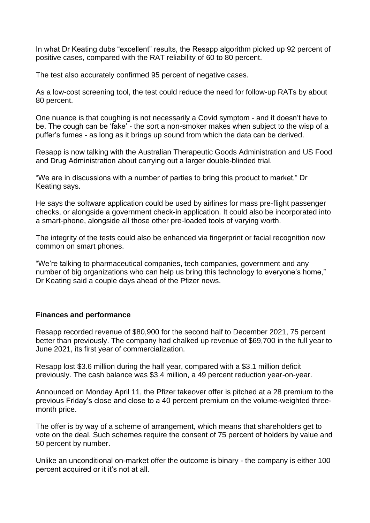In what Dr Keating dubs "excellent" results, the Resapp algorithm picked up 92 percent of positive cases, compared with the RAT reliability of 60 to 80 percent.

The test also accurately confirmed 95 percent of negative cases.

As a low-cost screening tool, the test could reduce the need for follow-up RATs by about 80 percent.

One nuance is that coughing is not necessarily a Covid symptom - and it doesn't have to be. The cough can be 'fake' - the sort a non-smoker makes when subject to the wisp of a puffer's fumes - as long as it brings up sound from which the data can be derived.

Resapp is now talking with the Australian Therapeutic Goods Administration and US Food and Drug Administration about carrying out a larger double-blinded trial.

"We are in discussions with a number of parties to bring this product to market," Dr Keating says.

He says the software application could be used by airlines for mass pre-flight passenger checks, or alongside a government check-in application. It could also be incorporated into a smart-phone, alongside all those other pre-loaded tools of varying worth.

The integrity of the tests could also be enhanced via fingerprint or facial recognition now common on smart phones.

"We're talking to pharmaceutical companies, tech companies, government and any number of big organizations who can help us bring this technology to everyone's home," Dr Keating said a couple days ahead of the Pfizer news.

#### **Finances and performance**

Resapp recorded revenue of \$80,900 for the second half to December 2021, 75 percent better than previously. The company had chalked up revenue of \$69,700 in the full year to June 2021, its first year of commercialization.

Resapp lost \$3.6 million during the half year, compared with a \$3.1 million deficit previously. The cash balance was \$3.4 million, a 49 percent reduction year-on-year.

Announced on Monday April 11, the Pfizer takeover offer is pitched at a 28 premium to the previous Friday's close and close to a 40 percent premium on the volume-weighted threemonth price.

The offer is by way of a scheme of arrangement, which means that shareholders get to vote on the deal. Such schemes require the consent of 75 percent of holders by value and 50 percent by number.

Unlike an unconditional on-market offer the outcome is binary - the company is either 100 percent acquired or it it's not at all.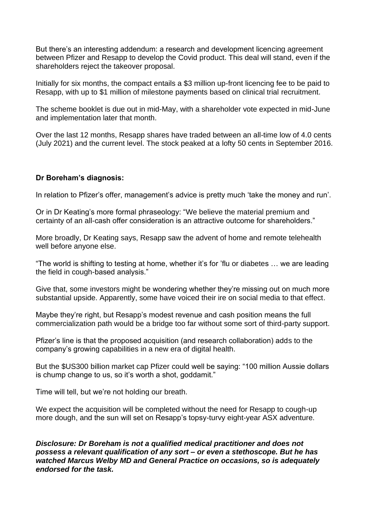But there's an interesting addendum: a research and development licencing agreement between Pfizer and Resapp to develop the Covid product. This deal will stand, even if the shareholders reject the takeover proposal.

Initially for six months, the compact entails a \$3 million up-front licencing fee to be paid to Resapp, with up to \$1 million of milestone payments based on clinical trial recruitment.

The scheme booklet is due out in mid-May, with a shareholder vote expected in mid-June and implementation later that month.

Over the last 12 months, Resapp shares have traded between an all-time low of 4.0 cents (July 2021) and the current level. The stock peaked at a lofty 50 cents in September 2016.

#### **Dr Boreham's diagnosis:**

In relation to Pfizer's offer, management's advice is pretty much 'take the money and run'.

Or in Dr Keating's more formal phraseology: "We believe the material premium and certainty of an all-cash offer consideration is an attractive outcome for shareholders."

More broadly, Dr Keating says, Resapp saw the advent of home and remote telehealth well before anyone else.

"The world is shifting to testing at home, whether it's for 'flu or diabetes … we are leading the field in cough-based analysis."

Give that, some investors might be wondering whether they're missing out on much more substantial upside. Apparently, some have voiced their ire on social media to that effect.

Maybe they're right, but Resapp's modest revenue and cash position means the full commercialization path would be a bridge too far without some sort of third-party support.

Pfizer's line is that the proposed acquisition (and research collaboration) adds to the company's growing capabilities in a new era of digital health.

But the \$US300 billion market cap Pfizer could well be saying: "100 million Aussie dollars is chump change to us, so it's worth a shot, goddamit."

Time will tell, but we're not holding our breath.

We expect the acquisition will be completed without the need for Resapp to cough-up more dough, and the sun will set on Resapp's topsy-turvy eight-year ASX adventure.

*Disclosure: Dr Boreham is not a qualified medical practitioner and does not possess a relevant qualification of any sort – or even a stethoscope. But he has watched Marcus Welby MD and General Practice on occasions, so is adequately endorsed for the task.*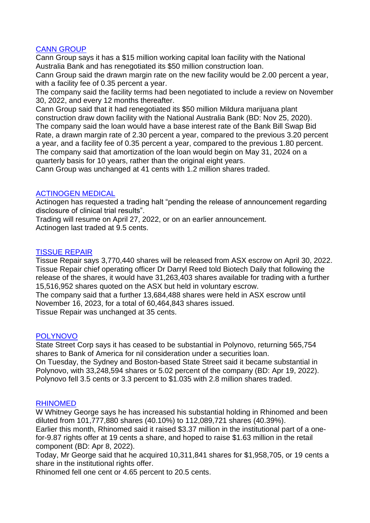### CANN GROUP

Cann Group says it has a \$15 million working capital loan facility with the National Australia Bank and has renegotiated its \$50 million construction loan.

Cann Group said the drawn margin rate on the new facility would be 2.00 percent a year, with a facility fee of 0.35 percent a year.

The company said the facility terms had been negotiated to include a review on November 30, 2022, and every 12 months thereafter.

Cann Group said that it had renegotiated its \$50 million Mildura marijuana plant construction draw down facility with the National Australia Bank (BD: Nov 25, 2020). The company said the loan would have a base interest rate of the Bank Bill Swap Bid Rate, a drawn margin rate of 2.30 percent a year, compared to the previous 3.20 percent a year, and a facility fee of 0.35 percent a year, compared to the previous 1.80 percent. The company said that amortization of the loan would begin on May 31, 2024 on a quarterly basis for 10 years, rather than the original eight years.

Cann Group was unchanged at 41 cents with 1.2 million shares traded.

#### ACTINOGEN MEDICAL

Actinogen has requested a trading halt "pending the release of announcement regarding disclosure of clinical trial results".

Trading will resume on April 27, 2022, or on an earlier announcement.

Actinogen last traded at 9.5 cents.

#### TISSUE REPAIR

Tissue Repair says 3,770,440 shares will be released from ASX escrow on April 30, 2022. Tissue Repair chief operating officer Dr Darryl Reed told Biotech Daily that following the release of the shares, it would have 31,263,403 shares available for trading with a further 15,516,952 shares quoted on the ASX but held in voluntary escrow.

The company said that a further 13,684,488 shares were held in ASX escrow until November 16, 2023, for a total of 60,464,843 shares issued.

Tissue Repair was unchanged at 35 cents.

#### POLYNOVO

State Street Corp says it has ceased to be substantial in Polynovo, returning 565,754 shares to Bank of America for nil consideration under a securities loan.

On Tuesday, the Sydney and Boston-based State Street said it became substantial in Polynovo, with 33,248,594 shares or 5.02 percent of the company (BD: Apr 19, 2022). Polynovo fell 3.5 cents or 3.3 percent to \$1.035 with 2.8 million shares traded.

#### RHINOMED

W Whitney George says he has increased his substantial holding in Rhinomed and been diluted from 101,777,880 shares (40.10%) to 112,089,721 shares (40.39%).

Earlier this month, Rhinomed said it raised \$3.37 million in the institutional part of a onefor-9.87 rights offer at 19 cents a share, and hoped to raise \$1.63 million in the retail component (BD: Apr 8, 2022).

Today, Mr George said that he acquired 10,311,841 shares for \$1,958,705, or 19 cents a share in the institutional rights offer.

Rhinomed fell one cent or 4.65 percent to 20.5 cents.